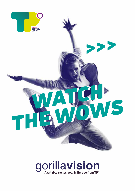

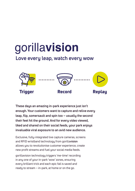

**Love every leap, watch every wow**



**These days an amazing in-park experience just isn't enough. Your customers want to capture and relive every leap, flip, somersault and spin too – usually the second their feet hit the ground. And for every video viewed, liked and shared on their social feeds, your park enjoys invaluable viral exposure to an avid new audience.**

Exclusive, fully-integrated live capture cameras, screens and RFID wristband technology from gorilla**vision** allows you to revolutionise customer experience, create new profit streams and fuel your social media feeds.

gorillavision technology triggers 'me-time' recording in any one of your in-park 'wow' zones, ensuring every brilliant trick and each epic fail is saved and ready to stream – in-park, at home or on the go.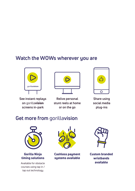## **Watch the WOWs wherever you are**



**See instant replays on** gorillavision **screens in-park**



**Relive personal stunt reels at home or on the go**



**Share using social media plug-ins**

## **Get more from** gorilla**vision**



Gorilla Ninja timing solutions

Available for obstacle courses using tap in / tap out technology



Cashless payment sustems available



Custom branded wristbands available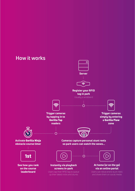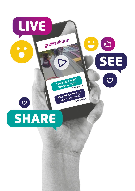